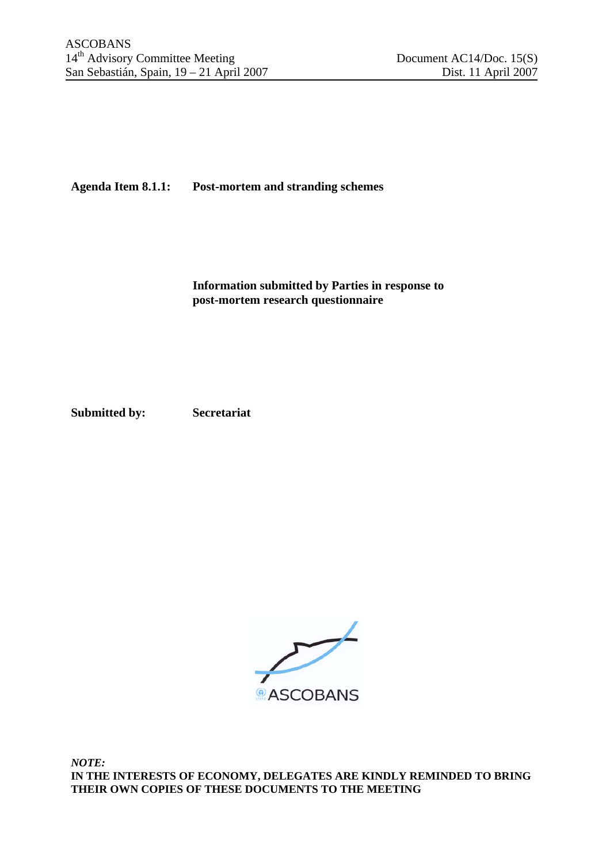## **Agenda Item 8.1.1: Post-mortem and stranding schemes**

**Information submitted by Parties in response to post-mortem research questionnaire** 

**Submitted by: Secretariat** 

 $\overrightarrow{C}$ **ASCOBANS** 

*NOTE:*  **IN THE INTERESTS OF ECONOMY, DELEGATES ARE KINDLY REMINDED TO BRING THEIR OWN COPIES OF THESE DOCUMENTS TO THE MEETING**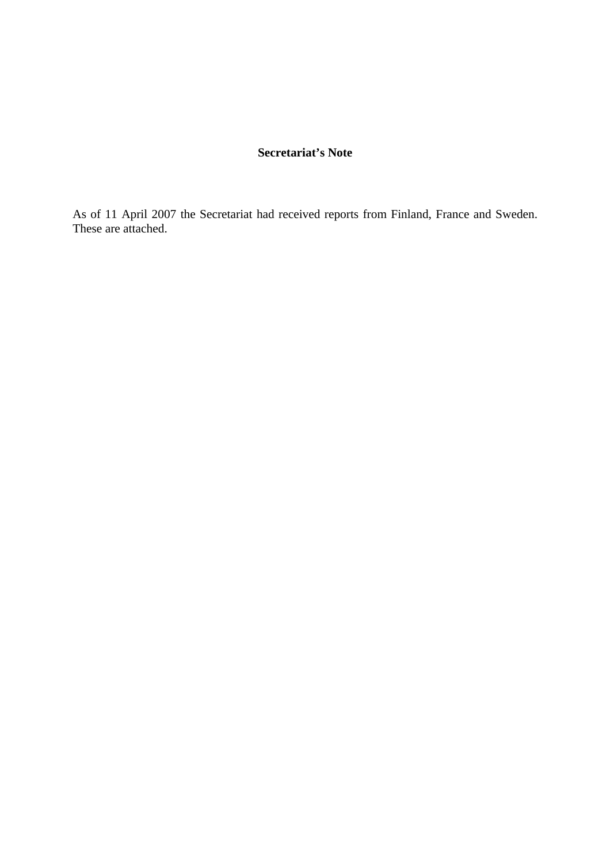## **Secretariat's Note**

As of 11 April 2007 the Secretariat had received reports from Finland, France and Sweden. These are attached.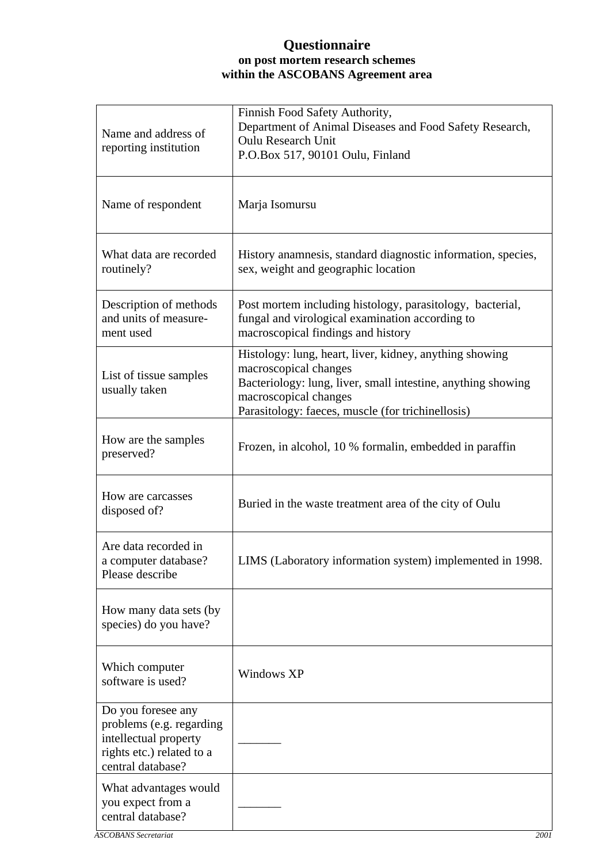## **Questionnaire on post mortem research schemes within the ASCOBANS Agreement area**

| Name and address of<br>reporting institution                                                                              | Finnish Food Safety Authority,<br>Department of Animal Diseases and Food Safety Research,<br><b>Oulu Research Unit</b><br>P.O.Box 517, 90101 Oulu, Finland                                                                     |
|---------------------------------------------------------------------------------------------------------------------------|--------------------------------------------------------------------------------------------------------------------------------------------------------------------------------------------------------------------------------|
| Name of respondent                                                                                                        | Marja Isomursu                                                                                                                                                                                                                 |
| What data are recorded<br>routinely?                                                                                      | History anamnesis, standard diagnostic information, species,<br>sex, weight and geographic location                                                                                                                            |
| Description of methods<br>and units of measure-<br>ment used                                                              | Post mortem including histology, parasitology, bacterial,<br>fungal and virological examination according to<br>macroscopical findings and history                                                                             |
| List of tissue samples<br>usually taken                                                                                   | Histology: lung, heart, liver, kidney, anything showing<br>macroscopical changes<br>Bacteriology: lung, liver, small intestine, anything showing<br>macroscopical changes<br>Parasitology: faeces, muscle (for trichinellosis) |
| How are the samples<br>preserved?                                                                                         | Frozen, in alcohol, 10 % formalin, embedded in paraffin                                                                                                                                                                        |
| How are carcasses<br>disposed of?                                                                                         | Buried in the waste treatment area of the city of Oulu                                                                                                                                                                         |
| Are data recorded in<br>a computer database?<br>Please describe                                                           | LIMS (Laboratory information system) implemented in 1998.                                                                                                                                                                      |
| How many data sets (by<br>species) do you have?                                                                           |                                                                                                                                                                                                                                |
| Which computer<br>software is used?                                                                                       | Windows XP                                                                                                                                                                                                                     |
| Do you foresee any<br>problems (e.g. regarding<br>intellectual property<br>rights etc.) related to a<br>central database? |                                                                                                                                                                                                                                |
| What advantages would<br>you expect from a<br>central database?                                                           |                                                                                                                                                                                                                                |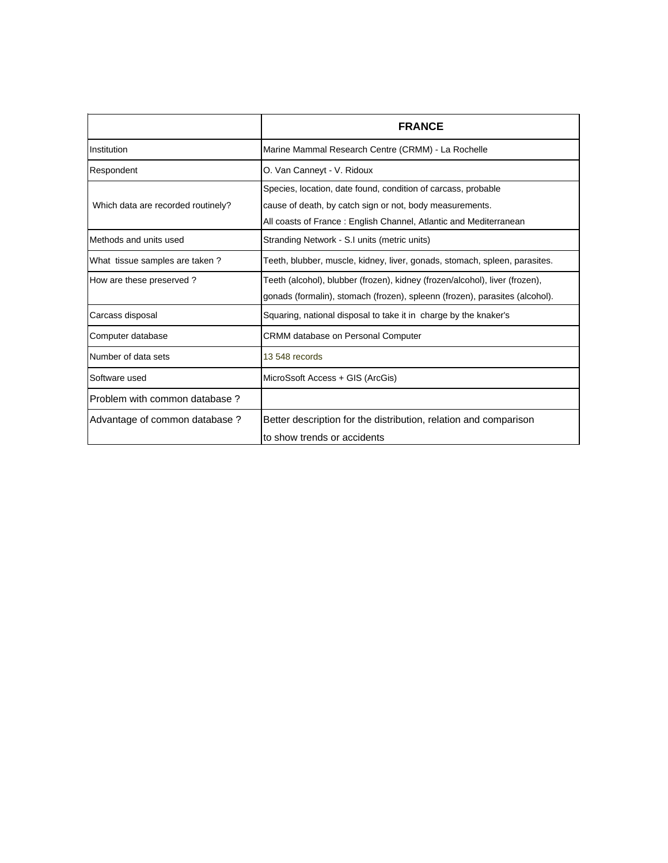|                                    | <b>FRANCE</b>                                                                                                                                                                                  |
|------------------------------------|------------------------------------------------------------------------------------------------------------------------------------------------------------------------------------------------|
| Institution                        | Marine Mammal Research Centre (CRMM) - La Rochelle                                                                                                                                             |
| Respondent                         | O. Van Canneyt - V. Ridoux                                                                                                                                                                     |
| Which data are recorded routinely? | Species, location, date found, condition of carcass, probable<br>cause of death, by catch sign or not, body measurements.<br>All coasts of France: English Channel, Atlantic and Mediterranean |
| Methods and units used             | Stranding Network - S.I units (metric units)                                                                                                                                                   |
| What tissue samples are taken?     | Teeth, blubber, muscle, kidney, liver, gonads, stomach, spleen, parasites.                                                                                                                     |
| How are these preserved?           | Teeth (alcohol), blubber (frozen), kidney (frozen/alcohol), liver (frozen),<br>gonads (formalin), stomach (frozen), spleenn (frozen), parasites (alcohol).                                     |
| Carcass disposal                   | Squaring, national disposal to take it in charge by the knaker's                                                                                                                               |
| Computer database                  | <b>CRMM database on Personal Computer</b>                                                                                                                                                      |
| Number of data sets                | 13 548 records                                                                                                                                                                                 |
| Software used                      | MicroSsoft Access + GIS (ArcGis)                                                                                                                                                               |
| Problem with common database?      |                                                                                                                                                                                                |
| Advantage of common database ?     | Better description for the distribution, relation and comparison<br>to show trends or accidents                                                                                                |